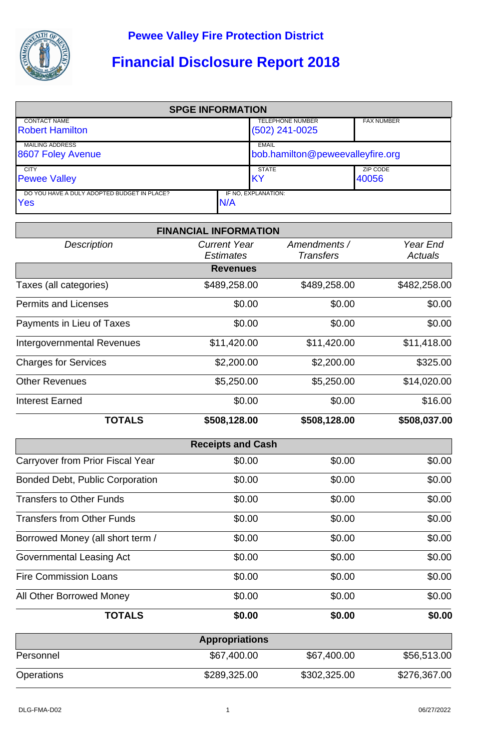

## **Financial Disclosure Report 2018**

| <b>SPGE INFORMATION</b>                       |     |                                             |                   |  |  |
|-----------------------------------------------|-----|---------------------------------------------|-------------------|--|--|
| <b>CONTACT NAME</b><br><b>Robert Hamilton</b> |     | <b>TELEPHONE NUMBER</b><br>$(502)$ 241-0025 | <b>FAX NUMBER</b> |  |  |
|                                               |     |                                             |                   |  |  |
| <b>MAILING ADDRESS</b>                        |     | <b>EMAIL</b>                                |                   |  |  |
| 8607 Foley Avenue                             |     | bob.hamilton@peweevalleyfire.org            |                   |  |  |
| <b>CITY</b>                                   |     | <b>STATE</b>                                | ZIP CODE          |  |  |
| <b>Pewee Valley</b>                           |     | IKY                                         | 40056             |  |  |
| DO YOU HAVE A DULY ADOPTED BUDGET IN PLACE?   |     | IF NO. EXPLANATION:                         |                   |  |  |
| Yes                                           | N/A |                                             |                   |  |  |

|                                        | <b>FINANCIAL INFORMATION</b>            |                                  |                            |
|----------------------------------------|-----------------------------------------|----------------------------------|----------------------------|
| <b>Description</b>                     | <b>Current Year</b><br><b>Estimates</b> | Amendments /<br><b>Transfers</b> | Year End<br><b>Actuals</b> |
|                                        | <b>Revenues</b>                         |                                  |                            |
| Taxes (all categories)                 | \$489,258.00                            | \$489,258.00                     | \$482,258.00               |
| <b>Permits and Licenses</b>            | \$0.00                                  | \$0.00                           | \$0.00                     |
| Payments in Lieu of Taxes              | \$0.00                                  | \$0.00                           | \$0.00                     |
| <b>Intergovernmental Revenues</b>      | \$11,420.00                             | \$11,420.00                      | \$11,418.00                |
| <b>Charges for Services</b>            | \$2,200.00                              | \$2,200.00                       | \$325.00                   |
| <b>Other Revenues</b>                  | \$5,250.00                              | \$5,250.00                       | \$14,020.00                |
| <b>Interest Earned</b>                 | \$0.00                                  | \$0.00                           | \$16.00                    |
| <b>TOTALS</b>                          | \$508,128.00                            | \$508,128.00                     | \$508,037.00               |
|                                        | <b>Receipts and Cash</b>                |                                  |                            |
| Carryover from Prior Fiscal Year       | \$0.00                                  | \$0.00                           | \$0.00                     |
| <b>Bonded Debt, Public Corporation</b> | \$0.00                                  | \$0.00                           | \$0.00                     |
| <b>Transfers to Other Funds</b>        | \$0.00                                  | \$0.00                           | \$0.00                     |
| <b>Transfers from Other Funds</b>      | \$0.00                                  | \$0.00                           | \$0.00                     |
| Borrowed Money (all short term /       | \$0.00                                  | \$0.00                           | \$0.00                     |
| Governmental Leasing Act               | \$0.00                                  | \$0.00                           | \$0.00                     |
| <b>Fire Commission Loans</b>           | \$0.00                                  | \$0.00                           | \$0.00                     |
| All Other Borrowed Money               | \$0.00                                  | \$0.00                           | \$0.00                     |
| <b>TOTALS</b>                          | \$0.00                                  | \$0.00                           | \$0.00                     |
|                                        | <b>Appropriations</b>                   |                                  |                            |
|                                        |                                         |                                  |                            |

| <b>UPPLANIUS</b> |              |              |              |  |  |
|------------------|--------------|--------------|--------------|--|--|
| Personnel        | \$67,400.00  | \$67,400.00  | \$56,513.00  |  |  |
| Operations       | \$289,325.00 | \$302,325.00 | \$276,367.00 |  |  |